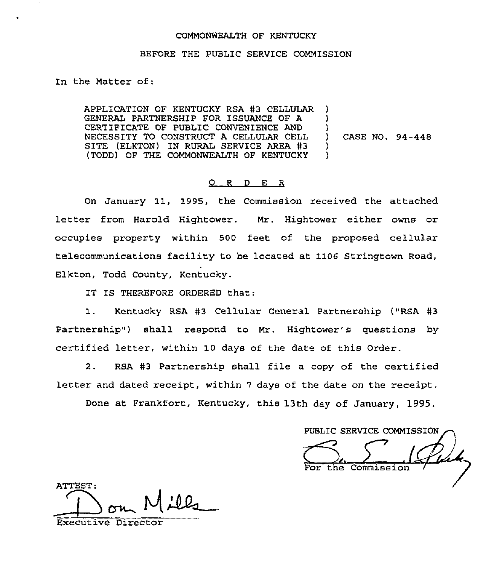## COMMONWEALTH OF KENTUCKY

## BEFORE THE PUBLIC SERVICE COMMISSION

In the Matter of:

APPLICATION OF KENTUCKY RSA #3 CELLULAR GENERAL PARTNERSHIP FOR ISSUANCE OF A CERTIFICATE OF PUBLIC CONVENIENCE AND NECESSITY TO CONSTRUCT A CELLULAR CELL<br>SITE (ELKTON) IN RURAL SERVICE AREA #3<br>(TOPP) OF TUE COMMONWELLTY OF KENTUCKY (TODD) OF THE COMMONWEALTH OF KENTUCKY ) ) ) ) CASE NO. 94-448 ) )

## O R D E R

On January 11, 1995, the Commission received the attached letter from Harold Hightower. Mr. Hightower either owns or occupies property within 500 feet of the proposed cellular telecommunications facility to be located at 1106 Stringtown Road, Elkton, Todd County, Kentucky.

IT IS THEREFORE ORDERED that:

1. Kentucky RSA #3 Cellular General Partnership ("RSA #3 Partnership") shall respond to Mr. Hightower's questions by certified letter, within 10 days of the date of this Order.

2. RSA #3 Partnership shall file a copy of the certified letter and dated receipt, within <sup>7</sup> days of the date on the receipt.

Done at Frankfort, Kentucky, this 13th day of January, 1995.

PUBLIC SERVICE COMMISSION the Commission

ATTEST:

Executive Directo